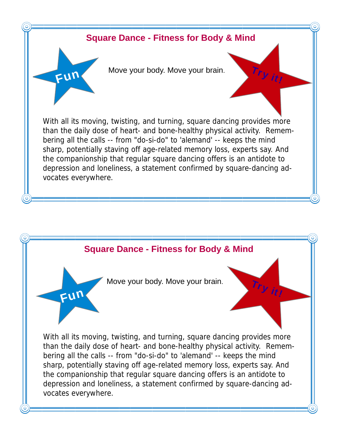

## **Square Dance - Fitness for Body & Mind**

Move your body. Move your brain.

Try it!

Fu<sup>n</sup>

With all its moving, twisting, and turning, square dancing provides more than the daily dose of heart- and bone-healthy physical activity. Remembering all the calls -- from "do-si-do" to 'alemand' -- keeps the mind sharp, potentially staving off age-related memory loss, experts say. And the companionship that regular square dancing offers is an antidote to depression and loneliness, a statement confirmed by square-dancing advocates everywhere.